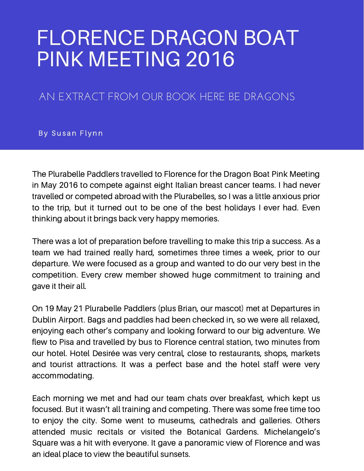## FLORENCE DRAGON BOAT PINK MEETING 2016

## AN EXTRACT FROM OUR BOOK HERE BE DRAGONS

By Susan Flynn

The Plurabelle Paddlers travelled to Florence for the Dragon Boat Pink Meeting in May 2016 to compete against eight Italian breast cancer teams. I had never travelled or competed abroad with the Plurabelles, so I was a little anxious prior to the trip, but it turned out to be one of the best holidays I ever had. Even thinking about it brings back very happy memories.

There was a lot of preparation before travelling to make this trip a success. As a team we had trained really hard, sometimes three times a week, prior to our departure. We were focused as a group and wanted to do our very best in the competition. Every crew member showed huge commitment to training and gave it their all.

On 19 May 21 Plurabelle Paddlers (plus Brian, our mascot) met at Departures in Dublin Airport. Bags and paddles had been checked in, so we were all relaxed, enjoying each other's company and looking forward to our big adventure. We flew to Pisa and travelled by bus to Florence central station, two minutes from our hotel. Hotel Desirée was very central, close to restaurants, shops, markets and tourist attractions. It was a perfect base and the hotel staff were very accommodating.

Each morning we met and had our team chats over breakfast, which kept us focused. But it wasn't all training and competing. There was some free time too to enjoy the city. Some went to museums, cathedrals and galleries. Others attended music recitals or visited the Botanical Gardens. Michelangelo's Square was a hit with everyone. It gave a panoramic view of Florence and was an ideal place to view the beautiful sunsets.